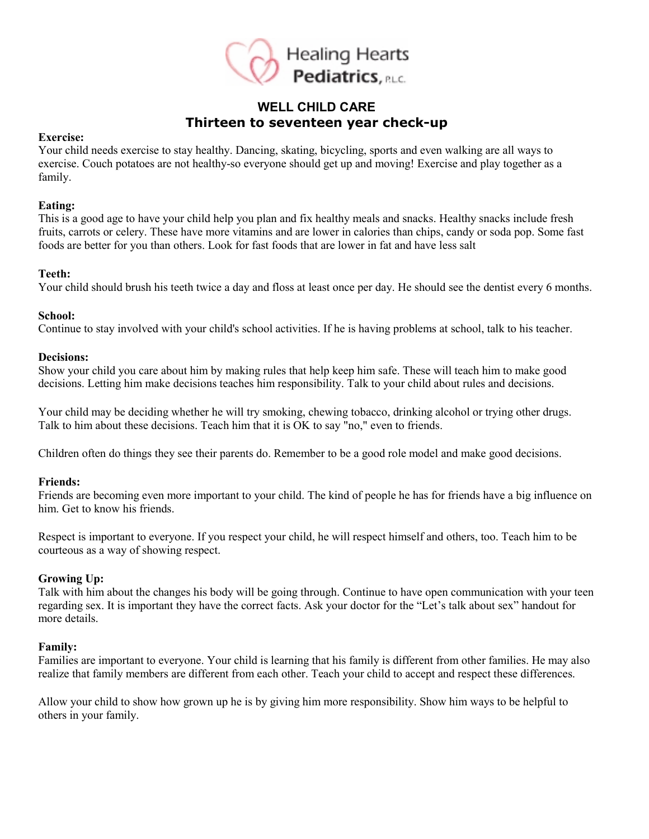

## **WELL CHILD CARE Thirteen to seventeen year check-up**

#### **Exercise:**

Your child needs exercise to stay healthy. Dancing, skating, bicycling, sports and even walking are all ways to exercise. Couch potatoes are not healthy-so everyone should get up and moving! Exercise and play together as a family.

#### **Eating:**

This is a good age to have your child help you plan and fix healthy meals and snacks. Healthy snacks include fresh fruits, carrots or celery. These have more vitamins and are lower in calories than chips, candy or soda pop. Some fast foods are better for you than others. Look for fast foods that are lower in fat and have less salt

#### **Teeth:**

Your child should brush his teeth twice a day and floss at least once per day. He should see the dentist every 6 months.

#### **School:**

Continue to stay involved with your child's school activities. If he is having problems at school, talk to his teacher.

#### **Decisions:**

Show your child you care about him by making rules that help keep him safe. These will teach him to make good decisions. Letting him make decisions teaches him responsibility. Talk to your child about rules and decisions.

Your child may be deciding whether he will try smoking, chewing tobacco, drinking alcohol or trying other drugs. Talk to him about these decisions. Teach him that it is OK to say "no," even to friends.

Children often do things they see their parents do. Remember to be a good role model and make good decisions.

#### **Friends:**

Friends are becoming even more important to your child. The kind of people he has for friends have a big influence on him. Get to know his friends.

Respect is important to everyone. If you respect your child, he will respect himself and others, too. Teach him to be courteous as a way of showing respect.

## **Growing Up:**

Talk with him about the changes his body will be going through. Continue to have open communication with your teen regarding sex. It is important they have the correct facts. Ask your doctor for the "Let's talk about sex" handout for more details.

## **Family:**

Families are important to everyone. Your child is learning that his family is different from other families. He may also realize that family members are different from each other. Teach your child to accept and respect these differences.

Allow your child to show how grown up he is by giving him more responsibility. Show him ways to be helpful to others in your family.